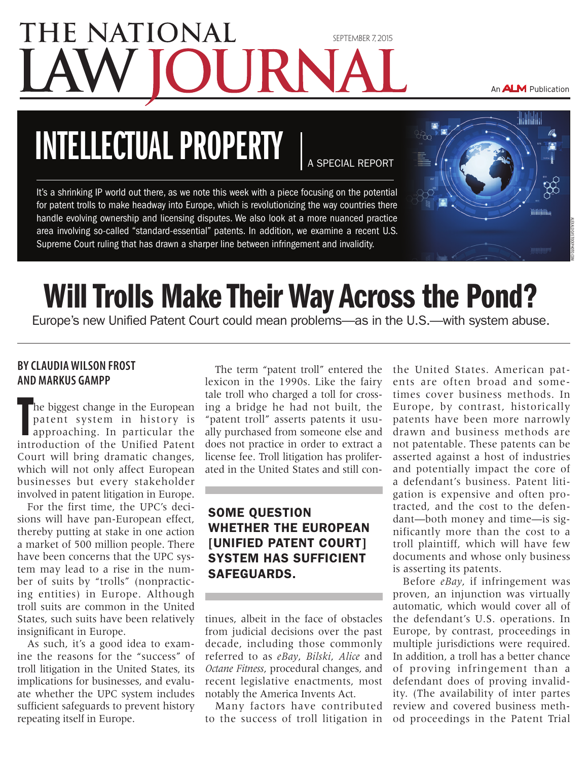# **THE NATIONAL** [september 7, 2015](www.nlj.com)

An ALM Publication

## **INTELLECTUAL PROPERTY | A SPECIAL REPORT**

It's a shrinking IP world out there, as we note this week with a piece focusing on the potential for patent trolls to make headway into Europe, which is revolutionizing the way countries there handle evolving ownership and licensing disputes. We also look at a more nuanced practice area involving so-called "standard-essential" patents. In addition, we examine a recent U.S. Supreme Court ruling that has drawn a sharper line between infringement and invalidity.



### Will Trolls Make Their Way Across the Pond?

Europe's new Unified Patent Court could mean problems—as in the U.S.—with system abuse.

#### **By Claudia Wilson Frost and Markus Gampp**

The biggest change in the European<br>patent system in history is<br>approaching. In particular the<br>introduction of the Unified Patent he biggest change in the European patent system in history is approaching. In particular the Court will bring dramatic changes, which will not only affect European businesses but every stakeholder involved in patent litigation in Europe.

For the first time, the UPC's decisions will have pan-European effect, thereby putting at stake in one action a market of 500 million people. There have been concerns that the UPC system may lead to a rise in the number of suits by "trolls" (nonpracticing entities) in Europe. Although troll suits are common in the United States, such suits have been relatively insignificant in Europe.

As such, it's a good idea to examine the reasons for the "success" of troll litigation in the United States, its implications for businesses, and evaluate whether the UPC system includes sufficient safeguards to prevent history repeating itself in Europe.

The term "patent troll" entered the lexicon in the 1990s. Like the fairy tale troll who charged a toll for crossing a bridge he had not built, the "patent troll" asserts patents it usually purchased from someone else and does not practice in order to extract a license fee. Troll litigation has proliferated in the United States and still con-

#### some question whether the European [Unified Patent Court] system has sufficient safeguards.

tinues, albeit in the face of obstacles from judicial decisions over the past decade, including those commonly referred to as *eBay*, *Bilski*, *Alice* and *Octane Fitness*, procedural changes, and recent legislative enactments, most notably the America Invents Act.

Many factors have contributed to the success of troll litigation in the United States. American patents are often broad and sometimes cover business methods. In Europe, by contrast, historically patents have been more narrowly drawn and business methods are not patentable. These patents can be asserted against a host of industries and potentially impact the core of a defendant's business. Patent litigation is expensive and often protracted, and the cost to the defendant—both money and time—is significantly more than the cost to a troll plaintiff, which will have few documents and whose only business is asserting its patents.

Before *eBay*, if infringement was proven, an injunction was virtually automatic, which would cover all of the defendant's U.S. operations. In Europe, by contrast, proceedings in multiple jurisdictions were required. In addition, a troll has a better chance of proving infringement than a defendant does of proving invalidity. (The availability of inter partes review and covered business method proceedings in the Patent Trial